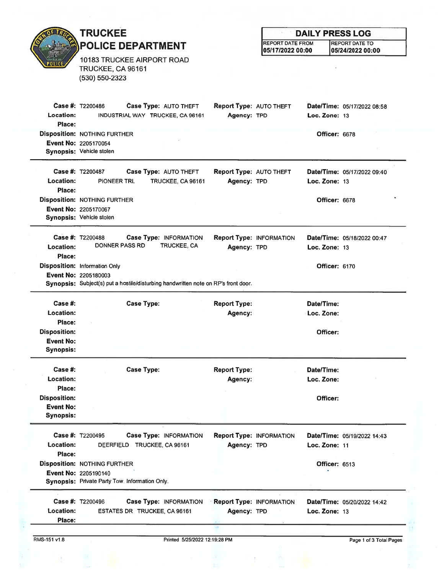|                                                                | <b>TRUCKEE</b>                                                                                                                                     |                                                | <b>DAILY PRESS LOG</b>          |                          |                             |  |
|----------------------------------------------------------------|----------------------------------------------------------------------------------------------------------------------------------------------------|------------------------------------------------|---------------------------------|--------------------------|-----------------------------|--|
|                                                                | <b>POLICE DEPARTMENT</b>                                                                                                                           |                                                | <b>REPORT DATE FROM</b>         |                          | <b>REPORT DATE TO</b>       |  |
|                                                                | 10183 TRUCKEE AIRPORT ROAD<br>TRUCKEE, CA 96161<br>(530) 550-2323                                                                                  |                                                | 05/17/2022 00:00                |                          | 05/24/2022 00:00            |  |
| <b>Location:</b><br>Place:                                     | <b>Case #: T2200486</b><br>Case Type: AUTO THEFT<br>INDUSTRIAL WAY TRUCKEE, CA 96161                                                               | <b>Report Type: AUTO THEFT</b><br>Agency: TPD  |                                 | Loc. Zone: 13            | Date/Time: 05/17/2022 08:58 |  |
|                                                                | <b>Disposition: NOTHING FURTHER</b><br>Event No: 2205170054<br>Synopsis: Vehicle stolen                                                            |                                                |                                 | Officer: 6678            |                             |  |
| Location:<br>Place:                                            | <b>Case #: T2200487</b><br>Case Type: AUTO THEFT<br><b>PIONEER TRL</b><br>TRUCKEE, CA 96161                                                        | Report Type: AUTO THEFT<br>Agency: TPD         |                                 | Loc. Zone: $13$          | Date/Time: 05/17/2022 09:40 |  |
|                                                                | <b>Disposition: NOTHING FURTHER</b><br>Event No: 2205170067<br>Synopsis: Vehicle stolen                                                            |                                                |                                 | Officer: 6678            |                             |  |
| Location:<br>Place:                                            | Case #: T2200488<br>Case Type: INFORMATION<br><b>DONNER PASS RD</b><br><b>TRUCKEE, CA</b>                                                          | Agency: TPD                                    | <b>Report Type: INFORMATION</b> | Loc. Zone: $13$          | Date/Time: 05/18/2022 00:47 |  |
|                                                                | <b>Disposition: Information Only</b><br>Event No: 2205180003<br>Synopsis: Subject(s) put a hostile/disturbing handwritten note on RP's front door. |                                                |                                 | <b>Officer: 6170</b>     |                             |  |
| Case #:<br>Location:                                           | <b>Case Type:</b>                                                                                                                                  | <b>Report Type:</b><br>Agency:                 |                                 | Date/Time:<br>Loc. Zone: |                             |  |
| Place:<br><b>Disposition:</b><br>Event No:<br><b>Synopsis:</b> |                                                                                                                                                    |                                                |                                 | Officer:                 |                             |  |
| Case #:<br>Location:<br>Place:                                 | <b>Case Type:</b>                                                                                                                                  | <b>Report Type:</b><br>Agency:                 |                                 | Date/Time:<br>Loc. Zone: |                             |  |
| <b>Disposition:</b><br><b>Event No:</b><br><b>Synopsis:</b>    |                                                                                                                                                    |                                                |                                 | Officer:                 |                             |  |
| Location:<br>Place:                                            | <b>Case #: T2200495</b><br>Case Type: INFORMATION<br>DEERFIELD TRUCKEE, CA 96161                                                                   | Agency: TPD                                    | <b>Report Type: INFORMATION</b> | Loc. Zone: 11            | Date/Time: 05/19/2022 14:43 |  |
|                                                                | <b>Disposition: NOTHING FURTHER</b><br>Event No: 2205190140<br>Synopsis: Private Party Tow. Information Only.                                      |                                                |                                 | Officer: 6513            |                             |  |
| Location:<br>Place:                                            | <b>Case #: T2200496</b><br>Case Type: INFORMATION<br>ESTATES DR TRUCKEE, CA 96161                                                                  | <b>Report Type: INFORMATION</b><br>Agency: TPD |                                 | Loc. Zone: $13$          | Date/Time: 05/20/2022 14:42 |  |
| RMS-151 v1.8                                                   | Printed 5/25/2022 12:19:28 PM                                                                                                                      |                                                |                                 |                          | Page 1 of 3 Total Pages     |  |

 $\overline{\mathcal{C}}$ 

1、 一、 先先は?

 $\frac{1}{2}$ 

三十二 三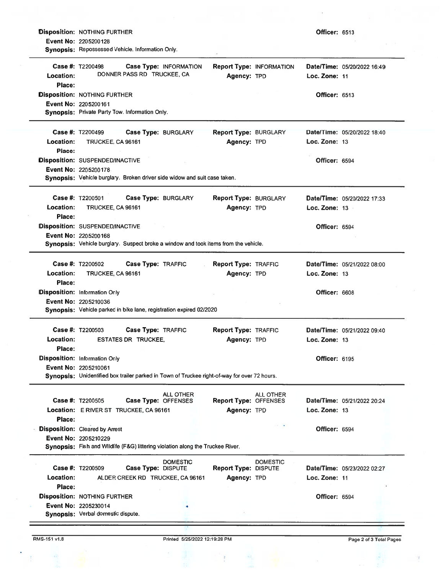|                     | <b>Disposition: NOTHING FURTHER</b>                                                                                  |                                       |                                             |                                 | <b>Officer: 6513</b> |                             |
|---------------------|----------------------------------------------------------------------------------------------------------------------|---------------------------------------|---------------------------------------------|---------------------------------|----------------------|-----------------------------|
|                     | <b>Event No: 2205200128</b><br>Synopsis: Repossessed Vehicle. Information Only.                                      |                                       |                                             |                                 |                      |                             |
|                     | Case #: T2200498<br>DONNER PASS RD TRUCKEE, CA                                                                       | Case Type: INFORMATION                |                                             | <b>Report Type: INFORMATION</b> |                      | Date/Time: 05/20/2022 16:49 |
| Location:<br>Place: |                                                                                                                      |                                       | Agency: TPD                                 |                                 | Loc. Zone: 11        |                             |
|                     | <b>Disposition: NOTHING FURTHER</b>                                                                                  |                                       |                                             |                                 | <b>Officer: 6513</b> |                             |
|                     | Event No: 2205200161<br>Synopsis: Private Party Tow. Information Only.                                               |                                       |                                             |                                 |                      |                             |
|                     | Case #: T2200499                                                                                                     | Case Type: BURGLARY                   | <b>Report Type: BURGLARY</b>                |                                 |                      | Date/Time: 05/20/2022 18:40 |
| Location:<br>Place: | TRUCKEE, CA 96161                                                                                                    |                                       | Agency: TPD                                 |                                 | Loc. Zone: 13        |                             |
|                     | Disposition: SUSPENDED/INACTIVE                                                                                      |                                       |                                             |                                 | Officer: 6594        |                             |
|                     | <b>Event No: 2205200178</b><br>Synopsis: Vehicle burglary. Broken driver side widow and suit case taken.             |                                       |                                             |                                 |                      |                             |
|                     | Case #: T2200501                                                                                                     | Case Type: BURGLARY                   | Report Type: BURGLARY                       |                                 |                      | Date/Time: 05/20/2022 17:33 |
| Location:<br>Place: | TRUCKEE, CA 96161                                                                                                    |                                       | Agency: TPD                                 |                                 | Loc. Zone: 13        |                             |
|                     | Disposition: SUSPENDED/INACTIVE                                                                                      |                                       |                                             |                                 | Officer: 6594        |                             |
|                     | Event No: 2205200168<br>Synopsis: Vehicle burglary. Suspect broke a window and took items from the vehicle.          |                                       |                                             |                                 |                      |                             |
|                     | <b>Case #: T2200502</b>                                                                                              | Case Type: TRAFFIC                    | Report Type: TRAFFIC                        |                                 |                      | Date/Time: 05/21/2022 08:00 |
| Location:<br>Place: | TRUCKEE, CA 96161                                                                                                    |                                       | Agency: TPD                                 |                                 | Loc. Zone: 13        |                             |
|                     | <b>Disposition: Information Only</b>                                                                                 |                                       |                                             |                                 | Officer: 6608        |                             |
|                     | Event No: 2205210036<br>Synopsis: Vehicle parked in bike lane, registration expired 02/2020                          |                                       |                                             |                                 |                      |                             |
|                     | Case #: T2200503                                                                                                     | Case Type: TRAFFIC                    | <b>Report Type: TRAFFIC</b>                 |                                 |                      | Date/Time: 05/21/2022 09:40 |
| Location:<br>Place: | <b>ESTATES DR TRUCKEE.</b>                                                                                           |                                       | Agency: TPD                                 |                                 | Loc. Zone: 13        |                             |
|                     | Disposition: Information Only                                                                                        |                                       |                                             |                                 | <b>Officer: 6195</b> |                             |
|                     | Event No: 2205210061<br>Synopsis: Unidentified box trailer parked in Town of Truckee right-of-way for over 72 hours. |                                       |                                             |                                 |                      |                             |
|                     |                                                                                                                      | ALL OTHER                             |                                             | ALL OTHER                       |                      |                             |
|                     | Case #: T2200505<br>Location: E RIVER ST TRUCKEE, CA 96161                                                           | Case Type: OFFENSES                   | <b>Report Type: OFFENSES</b><br>Agency: TPD |                                 | Loc. Zone: 13        | Date/Time: 05/21/2022 20:24 |
| Place:              |                                                                                                                      |                                       |                                             |                                 |                      |                             |
|                     | <b>Disposition:</b> Cleared by Arrest                                                                                |                                       |                                             |                                 | <b>Officer: 6594</b> |                             |
|                     | Event No: 2205210229<br>Synopsis: Fish and WIldlife (F&G) littering violation along the Truckee River.               |                                       |                                             |                                 |                      |                             |
|                     | <b>Case #: T2200509</b>                                                                                              | <b>DOMESTIC</b><br>Case Type: DISPUTE | <b>Report Type: DISPUTE</b>                 | <b>DOMESTIC</b>                 |                      | Date/Time: 05/23/2022 02:27 |
| Location:           | ALDER CREEK RD TRUCKEE, CA 96161                                                                                     |                                       | Agency: TPD                                 |                                 | Loc. Zone: 11        |                             |
|                     | <b>Disposition: NOTHING FURTHER</b>                                                                                  |                                       |                                             |                                 | Officer: 6594        |                             |
| Place:              |                                                                                                                      |                                       |                                             |                                 |                      |                             |
|                     | Event No: 2205230014                                                                                                 |                                       |                                             |                                 |                      |                             |
|                     | Synopsis: Verbal domestic dispute.                                                                                   |                                       |                                             |                                 |                      |                             |